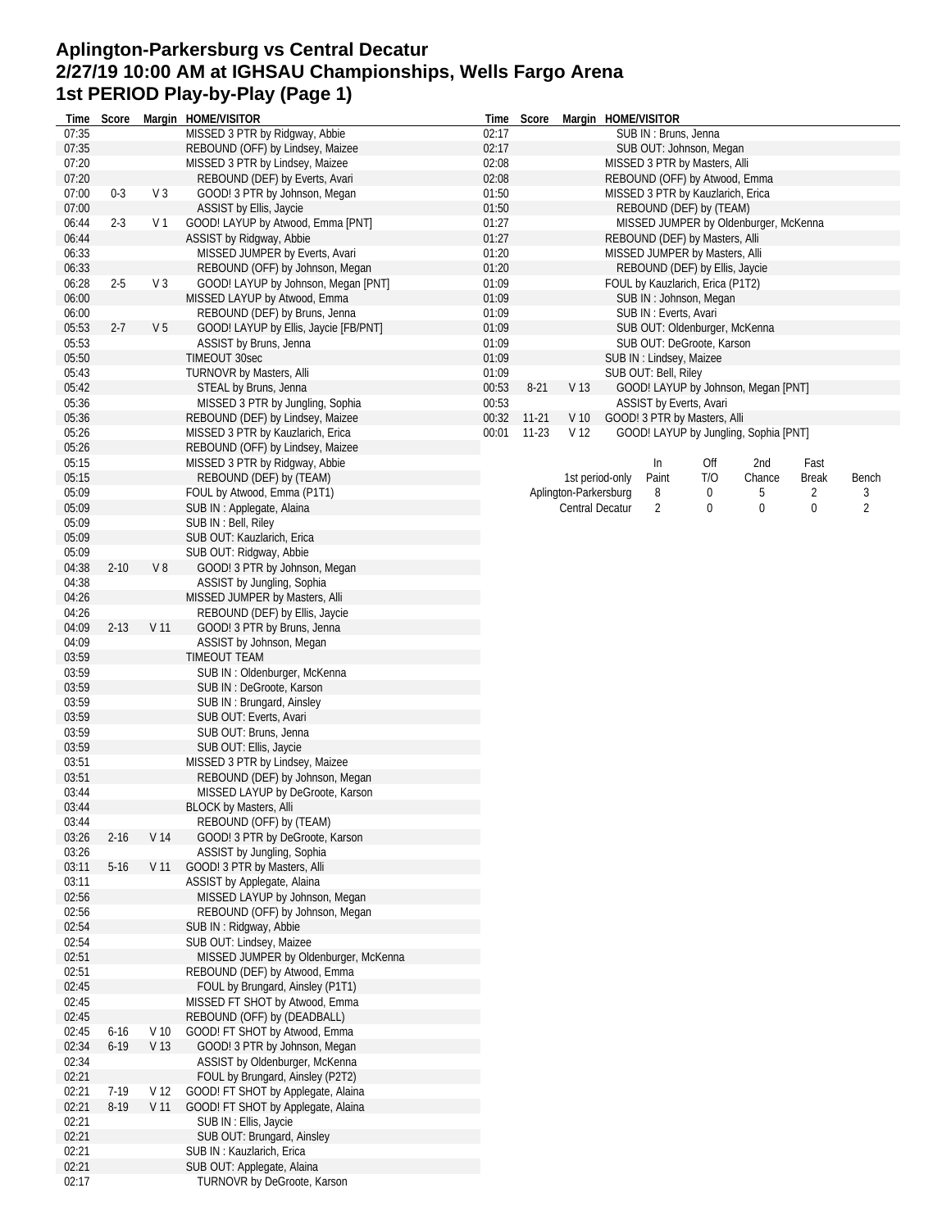## **Aplington-Parkersburg vs Central Decatur 2/27/19 10:00 AM at IGHSAU Championships, Wells Fargo Arena 1st PERIOD Play-by-Play (Page 1)**

| Time           | Score    |                 | Margin HOME/VISITOR                                                | Time                                      | Score                                                            |                               |                          | Margin HOME/VISITOR  |                                       |        |              |                |  |  |  |  |
|----------------|----------|-----------------|--------------------------------------------------------------------|-------------------------------------------|------------------------------------------------------------------|-------------------------------|--------------------------|----------------------|---------------------------------------|--------|--------------|----------------|--|--|--|--|
| 07:35          |          |                 | MISSED 3 PTR by Ridgway, Abbie                                     | 02:17                                     |                                                                  |                               |                          | SUB IN: Bruns, Jenna |                                       |        |              |                |  |  |  |  |
| 07:35          |          |                 | REBOUND (OFF) by Lindsey, Maizee                                   | 02:17                                     |                                                                  |                               |                          |                      | SUB OUT: Johnson, Megan               |        |              |                |  |  |  |  |
| 07:20          |          |                 | MISSED 3 PTR by Lindsey, Maizee                                    | 02:08                                     |                                                                  |                               |                          |                      | MISSED 3 PTR by Masters, Alli         |        |              |                |  |  |  |  |
| 07:20          | $0 - 3$  | V <sub>3</sub>  | REBOUND (DEF) by Everts, Avari<br>GOOD! 3 PTR by Johnson, Megan    | 02:08                                     |                                                                  |                               |                          |                      | REBOUND (OFF) by Atwood, Emma         |        |              |                |  |  |  |  |
| 07:00          |          |                 |                                                                    | 01:50                                     |                                                                  |                               |                          |                      | MISSED 3 PTR by Kauzlarich, Erica     |        |              |                |  |  |  |  |
| 07:00<br>06:44 | $2 - 3$  | V 1             | ASSIST by Ellis, Jaycie<br>GOOD! LAYUP by Atwood, Emma [PNT]       | 01:50<br>REBOUND (DEF) by (TEAM)<br>01:27 |                                                                  |                               |                          |                      |                                       |        |              |                |  |  |  |  |
| 06:44          |          |                 | ASSIST by Ridgway, Abbie                                           | 01:27                                     | MISSED JUMPER by Oldenburger, McKenna                            |                               |                          |                      |                                       |        |              |                |  |  |  |  |
| 06:33          |          |                 | MISSED JUMPER by Everts, Avari                                     | 01:20                                     | REBOUND (DEF) by Masters, Alli<br>MISSED JUMPER by Masters, Alli |                               |                          |                      |                                       |        |              |                |  |  |  |  |
| 06:33          |          |                 | REBOUND (OFF) by Johnson, Megan                                    | 01:20<br>REBOUND (DEF) by Ellis, Jaycie   |                                                                  |                               |                          |                      |                                       |        |              |                |  |  |  |  |
| 06:28          | $2 - 5$  | $V_3$           | GOOD! LAYUP by Johnson, Megan [PNT]                                |                                           | 01:09<br>FOUL by Kauzlarich, Erica (P1T2)                        |                               |                          |                      |                                       |        |              |                |  |  |  |  |
| 06:00          |          |                 | MISSED LAYUP by Atwood, Emma                                       | 01:09                                     |                                                                  | SUB IN: Johnson, Megan        |                          |                      |                                       |        |              |                |  |  |  |  |
| 06:00          |          |                 | REBOUND (DEF) by Bruns, Jenna                                      | 01:09                                     | SUB IN: Everts, Avari                                            |                               |                          |                      |                                       |        |              |                |  |  |  |  |
| 05:53          | $2 - 7$  | V <sub>5</sub>  | GOOD! LAYUP by Ellis, Jaycie [FB/PNT]                              | 01:09                                     |                                                                  | SUB OUT: Oldenburger, McKenna |                          |                      |                                       |        |              |                |  |  |  |  |
| 05:53          |          |                 | ASSIST by Bruns, Jenna                                             | 01:09                                     |                                                                  | SUB OUT: DeGroote, Karson     |                          |                      |                                       |        |              |                |  |  |  |  |
| 05:50          |          |                 | TIMEOUT 30sec                                                      | 01:09                                     |                                                                  |                               | SUB IN : Lindsey, Maizee |                      |                                       |        |              |                |  |  |  |  |
| 05:43          |          |                 | TURNOVR by Masters, Alli                                           | 01:09                                     |                                                                  |                               |                          | SUB OUT: Bell, Riley |                                       |        |              |                |  |  |  |  |
| 05:42          |          |                 | STEAL by Bruns, Jenna                                              | 00:53                                     | $8-21$                                                           | V 13                          |                          |                      | GOOD! LAYUP by Johnson, Megan [PNT]   |        |              |                |  |  |  |  |
| 05:36          |          |                 | MISSED 3 PTR by Jungling, Sophia                                   | 00:53                                     |                                                                  |                               |                          |                      | ASSIST by Everts, Avari               |        |              |                |  |  |  |  |
| 05:36          |          |                 | REBOUND (DEF) by Lindsey, Maizee                                   | 00:32                                     | $11 - 21$                                                        | V <sub>10</sub>               |                          |                      | GOOD! 3 PTR by Masters, Alli          |        |              |                |  |  |  |  |
| 05:26          |          |                 | MISSED 3 PTR by Kauzlarich, Erica                                  | 00:01                                     | $11-23$                                                          | V <sub>12</sub>               |                          |                      | GOOD! LAYUP by Jungling, Sophia [PNT] |        |              |                |  |  |  |  |
| 05:26          |          |                 | REBOUND (OFF) by Lindsey, Maizee                                   |                                           |                                                                  |                               |                          |                      |                                       |        |              |                |  |  |  |  |
| 05:15          |          |                 | MISSED 3 PTR by Ridgway, Abbie                                     |                                           |                                                                  |                               |                          | In                   | Off                                   | 2nd    | Fast         |                |  |  |  |  |
| 05:15          |          |                 | REBOUND (DEF) by (TEAM)                                            |                                           |                                                                  | 1st period-only               |                          | Paint                | T/O                                   | Chance | <b>Break</b> | Bench          |  |  |  |  |
| 05:09          |          |                 | FOUL by Atwood, Emma (P1T1)                                        |                                           |                                                                  | Aplington-Parkersburg         |                          | 8                    | 0                                     | 5      | 2            | 3              |  |  |  |  |
| 05:09          |          |                 | SUB IN : Applegate, Alaina                                         |                                           |                                                                  | Central Decatur               |                          | 2                    | 0                                     | 0      | 0            | $\overline{2}$ |  |  |  |  |
| 05:09          |          |                 | SUB IN : Bell, Riley                                               |                                           |                                                                  |                               |                          |                      |                                       |        |              |                |  |  |  |  |
| 05:09          |          |                 | SUB OUT: Kauzlarich, Erica                                         |                                           |                                                                  |                               |                          |                      |                                       |        |              |                |  |  |  |  |
| 05:09          |          |                 | SUB OUT: Ridgway, Abbie                                            |                                           |                                                                  |                               |                          |                      |                                       |        |              |                |  |  |  |  |
| 04:38          | $2 - 10$ | V8              | GOOD! 3 PTR by Johnson, Megan                                      |                                           |                                                                  |                               |                          |                      |                                       |        |              |                |  |  |  |  |
| 04:38          |          |                 | ASSIST by Jungling, Sophia                                         |                                           |                                                                  |                               |                          |                      |                                       |        |              |                |  |  |  |  |
| 04:26          |          |                 | MISSED JUMPER by Masters, Alli                                     |                                           |                                                                  |                               |                          |                      |                                       |        |              |                |  |  |  |  |
| 04:26          |          |                 | REBOUND (DEF) by Ellis, Jaycie                                     |                                           |                                                                  |                               |                          |                      |                                       |        |              |                |  |  |  |  |
| 04:09          | $2 - 13$ | V <sub>11</sub> | GOOD! 3 PTR by Bruns, Jenna                                        |                                           |                                                                  |                               |                          |                      |                                       |        |              |                |  |  |  |  |
| 04:09          |          |                 | ASSIST by Johnson, Megan                                           |                                           |                                                                  |                               |                          |                      |                                       |        |              |                |  |  |  |  |
| 03:59          |          |                 | <b>TIMEOUT TEAM</b>                                                |                                           |                                                                  |                               |                          |                      |                                       |        |              |                |  |  |  |  |
| 03:59          |          |                 | SUB IN: Oldenburger, McKenna                                       |                                           |                                                                  |                               |                          |                      |                                       |        |              |                |  |  |  |  |
| 03:59          |          |                 | SUB IN: DeGroote, Karson                                           |                                           |                                                                  |                               |                          |                      |                                       |        |              |                |  |  |  |  |
| 03:59          |          |                 | SUB IN: Brungard, Ainsley                                          |                                           |                                                                  |                               |                          |                      |                                       |        |              |                |  |  |  |  |
| 03:59          |          |                 | SUB OUT: Everts, Avari                                             |                                           |                                                                  |                               |                          |                      |                                       |        |              |                |  |  |  |  |
| 03:59          |          |                 | SUB OUT: Bruns, Jenna                                              |                                           |                                                                  |                               |                          |                      |                                       |        |              |                |  |  |  |  |
| 03:59          |          |                 | SUB OUT: Ellis, Jaycie                                             |                                           |                                                                  |                               |                          |                      |                                       |        |              |                |  |  |  |  |
| 03:51<br>03:51 |          |                 | MISSED 3 PTR by Lindsey, Maizee<br>REBOUND (DEF) by Johnson, Megan |                                           |                                                                  |                               |                          |                      |                                       |        |              |                |  |  |  |  |
| 03:44          |          |                 | MISSED LAYUP by DeGroote, Karson                                   |                                           |                                                                  |                               |                          |                      |                                       |        |              |                |  |  |  |  |
| 03:44          |          |                 | <b>BLOCK by Masters, Alli</b>                                      |                                           |                                                                  |                               |                          |                      |                                       |        |              |                |  |  |  |  |
| 03:44          |          |                 | REBOUND (OFF) by (TEAM)                                            |                                           |                                                                  |                               |                          |                      |                                       |        |              |                |  |  |  |  |
| 03:26          | $2 - 16$ | V 14            | GOOD! 3 PTR by DeGroote, Karson                                    |                                           |                                                                  |                               |                          |                      |                                       |        |              |                |  |  |  |  |
| 03:26          |          |                 | ASSIST by Jungling, Sophia                                         |                                           |                                                                  |                               |                          |                      |                                       |        |              |                |  |  |  |  |
| 03:11          | $5 - 16$ | V <sub>11</sub> | GOOD! 3 PTR by Masters, Alli                                       |                                           |                                                                  |                               |                          |                      |                                       |        |              |                |  |  |  |  |
| 03:11          |          |                 | ASSIST by Applegate, Alaina                                        |                                           |                                                                  |                               |                          |                      |                                       |        |              |                |  |  |  |  |
| 02:56          |          |                 | MISSED LAYUP by Johnson, Megan                                     |                                           |                                                                  |                               |                          |                      |                                       |        |              |                |  |  |  |  |
| 02:56          |          |                 | REBOUND (OFF) by Johnson, Megan                                    |                                           |                                                                  |                               |                          |                      |                                       |        |              |                |  |  |  |  |
| 02:54          |          |                 | SUB IN: Ridgway, Abbie                                             |                                           |                                                                  |                               |                          |                      |                                       |        |              |                |  |  |  |  |
| 02:54          |          |                 | SUB OUT: Lindsey, Maizee                                           |                                           |                                                                  |                               |                          |                      |                                       |        |              |                |  |  |  |  |
| 02:51          |          |                 | MISSED JUMPER by Oldenburger, McKenna                              |                                           |                                                                  |                               |                          |                      |                                       |        |              |                |  |  |  |  |
| 02:51          |          |                 | REBOUND (DEF) by Atwood, Emma                                      |                                           |                                                                  |                               |                          |                      |                                       |        |              |                |  |  |  |  |
| 02:45          |          |                 | FOUL by Brungard, Ainsley (P1T1)                                   |                                           |                                                                  |                               |                          |                      |                                       |        |              |                |  |  |  |  |
| 02:45          |          |                 | MISSED FT SHOT by Atwood, Emma                                     |                                           |                                                                  |                               |                          |                      |                                       |        |              |                |  |  |  |  |
| 02:45          |          |                 | REBOUND (OFF) by (DEADBALL)                                        |                                           |                                                                  |                               |                          |                      |                                       |        |              |                |  |  |  |  |
| 02:45          | $6 - 16$ | V <sub>10</sub> | GOOD! FT SHOT by Atwood, Emma                                      |                                           |                                                                  |                               |                          |                      |                                       |        |              |                |  |  |  |  |
| 02:34          | $6 - 19$ | V <sub>13</sub> | GOOD! 3 PTR by Johnson, Megan                                      |                                           |                                                                  |                               |                          |                      |                                       |        |              |                |  |  |  |  |
| 02:34          |          |                 | ASSIST by Oldenburger, McKenna                                     |                                           |                                                                  |                               |                          |                      |                                       |        |              |                |  |  |  |  |
| 02:21          |          |                 | FOUL by Brungard, Ainsley (P2T2)                                   |                                           |                                                                  |                               |                          |                      |                                       |        |              |                |  |  |  |  |
| 02:21          | 7-19     | V 12            | GOOD! FT SHOT by Applegate, Alaina                                 |                                           |                                                                  |                               |                          |                      |                                       |        |              |                |  |  |  |  |
| 02:21          | $8 - 19$ | V <sub>11</sub> | GOOD! FT SHOT by Applegate, Alaina                                 |                                           |                                                                  |                               |                          |                      |                                       |        |              |                |  |  |  |  |
| 02:21          |          |                 | SUB IN : Ellis, Jaycie                                             |                                           |                                                                  |                               |                          |                      |                                       |        |              |                |  |  |  |  |
| 02:21          |          |                 | SUB OUT: Brungard, Ainsley                                         |                                           |                                                                  |                               |                          |                      |                                       |        |              |                |  |  |  |  |
| 02:21          |          |                 | SUB IN: Kauzlarich, Erica                                          |                                           |                                                                  |                               |                          |                      |                                       |        |              |                |  |  |  |  |
| 02:21          |          |                 | SUB OUT: Applegate, Alaina                                         |                                           |                                                                  |                               |                          |                      |                                       |        |              |                |  |  |  |  |
| 02:17          |          |                 | TURNOVR by DeGroote, Karson                                        |                                           |                                                                  |                               |                          |                      |                                       |        |              |                |  |  |  |  |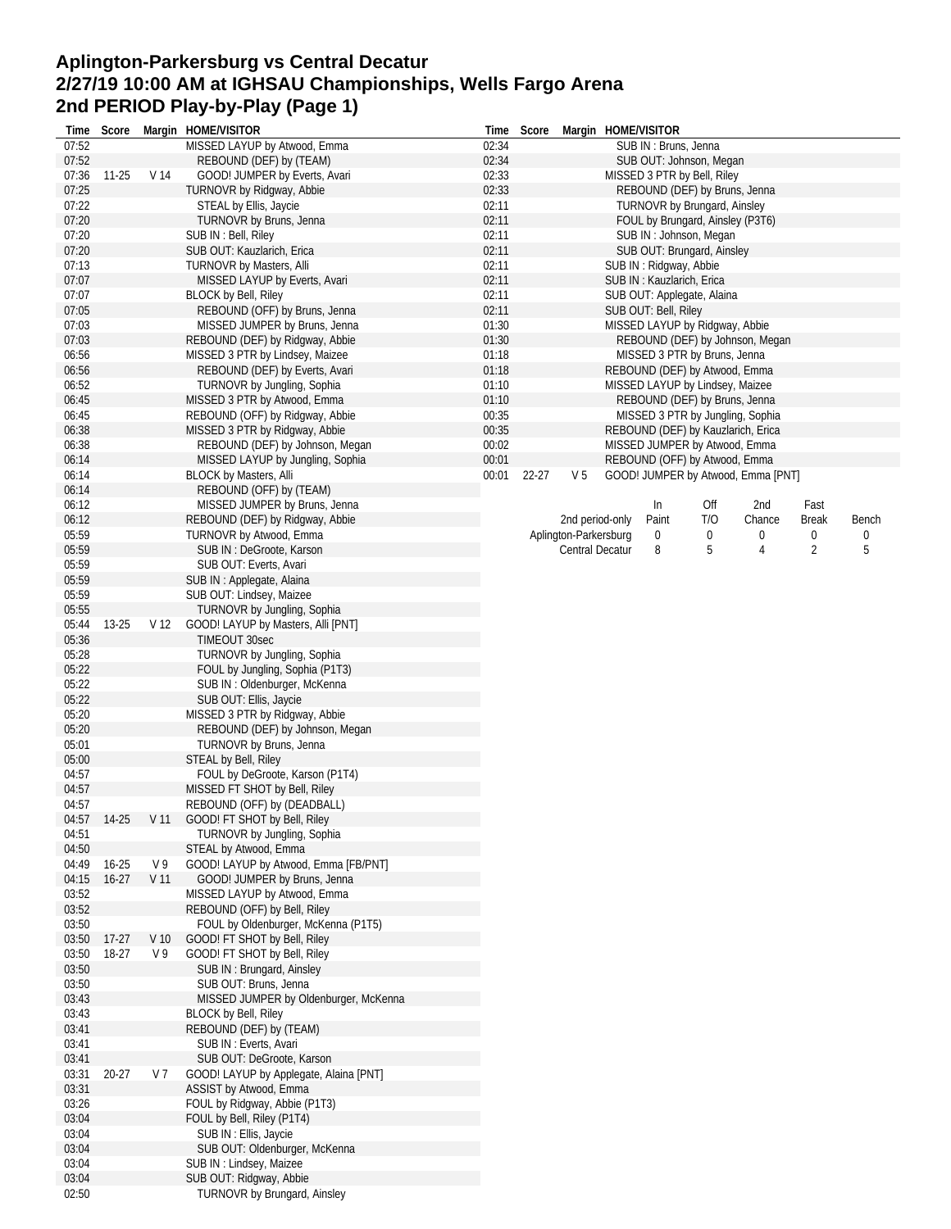## **Aplington-Parkersburg vs Central Decatur 2/27/19 10:00 AM at IGHSAU Championships, Wells Fargo Arena 2nd PERIOD Play-by-Play (Page 1)**

| Time        | Score     |                 | Margin HOME/VISITOR                    | Time  | Score |                       | Margin HOME/VISITOR    |                                     |                                    |                |       |
|-------------|-----------|-----------------|----------------------------------------|-------|-------|-----------------------|------------------------|-------------------------------------|------------------------------------|----------------|-------|
| 07:52       |           |                 | MISSED LAYUP by Atwood, Emma           | 02:34 |       |                       | SUB IN: Bruns, Jenna   |                                     |                                    |                |       |
| 07:52       |           |                 | REBOUND (DEF) by (TEAM)                | 02:34 |       |                       |                        | SUB OUT: Johnson, Megan             |                                    |                |       |
| 07:36       | $11 - 25$ | V 14            | GOOD! JUMPER by Everts, Avari          | 02:33 |       |                       |                        | MISSED 3 PTR by Bell, Riley         |                                    |                |       |
| 07:25       |           |                 | TURNOVR by Ridgway, Abbie              | 02:33 |       |                       |                        | REBOUND (DEF) by Bruns, Jenna       |                                    |                |       |
| 07:22       |           |                 | STEAL by Ellis, Jaycie                 | 02:11 |       |                       |                        | <b>TURNOVR by Brungard, Ainsley</b> |                                    |                |       |
| 07:20       |           |                 | TURNOVR by Bruns, Jenna                | 02:11 |       |                       |                        | FOUL by Brungard, Ainsley (P3T6)    |                                    |                |       |
| 07:20       |           |                 | SUB IN : Bell, Riley                   | 02:11 |       |                       |                        | SUB IN: Johnson, Megan              |                                    |                |       |
| 07:20       |           |                 | SUB OUT: Kauzlarich, Erica             | 02:11 |       |                       |                        | SUB OUT: Brungard, Ainsley          |                                    |                |       |
| 07:13       |           |                 | TURNOVR by Masters, Alli               | 02:11 |       |                       | SUB IN: Ridgway, Abbie |                                     |                                    |                |       |
| 07:07       |           |                 | MISSED LAYUP by Everts, Avari          | 02:11 |       |                       |                        | SUB IN: Kauzlarich, Erica           |                                    |                |       |
| 07:07       |           |                 | <b>BLOCK by Bell, Riley</b>            | 02:11 |       |                       |                        | SUB OUT: Applegate, Alaina          |                                    |                |       |
| 07:05       |           |                 | REBOUND (OFF) by Bruns, Jenna          | 02:11 |       |                       | SUB OUT: Bell, Riley   |                                     |                                    |                |       |
| 07:03       |           |                 | MISSED JUMPER by Bruns, Jenna          | 01:30 |       |                       |                        | MISSED LAYUP by Ridgway, Abbie      |                                    |                |       |
| 07:03       |           |                 | REBOUND (DEF) by Ridgway, Abbie        | 01:30 |       |                       |                        |                                     | REBOUND (DEF) by Johnson, Megan    |                |       |
| 06:56       |           |                 | MISSED 3 PTR by Lindsey, Maizee        | 01:18 |       |                       |                        | MISSED 3 PTR by Bruns, Jenna        |                                    |                |       |
| 06:56       |           |                 | REBOUND (DEF) by Everts, Avari         | 01:18 |       |                       |                        | REBOUND (DEF) by Atwood, Emma       |                                    |                |       |
| 06:52       |           |                 | TURNOVR by Jungling, Sophia            | 01:10 |       |                       |                        | MISSED LAYUP by Lindsey, Maizee     |                                    |                |       |
| 06:45       |           |                 | MISSED 3 PTR by Atwood, Emma           | 01:10 |       |                       |                        | REBOUND (DEF) by Bruns, Jenna       |                                    |                |       |
| 06:45       |           |                 | REBOUND (OFF) by Ridgway, Abbie        | 00:35 |       |                       |                        | MISSED 3 PTR by Jungling, Sophia    |                                    |                |       |
| 06:38       |           |                 | MISSED 3 PTR by Ridgway, Abbie         | 00:35 |       |                       |                        | REBOUND (DEF) by Kauzlarich, Erica  |                                    |                |       |
| 06:38       |           |                 | REBOUND (DEF) by Johnson, Megan        | 00:02 |       |                       |                        | MISSED JUMPER by Atwood, Emma       |                                    |                |       |
| 06:14       |           |                 | MISSED LAYUP by Jungling, Sophia       | 00:01 |       |                       |                        | REBOUND (OFF) by Atwood, Emma       |                                    |                |       |
| 06:14       |           |                 | <b>BLOCK by Masters, Alli</b>          | 00:01 | 22-27 | V <sub>5</sub>        |                        |                                     | GOOD! JUMPER by Atwood, Emma [PNT] |                |       |
| 06:14       |           |                 | REBOUND (OFF) by (TEAM)                |       |       |                       |                        |                                     |                                    |                |       |
| 06:12       |           |                 | MISSED JUMPER by Bruns, Jenna          |       |       |                       | $\ln$                  | Off                                 | 2nd                                | Fast           |       |
| 06:12       |           |                 | REBOUND (DEF) by Ridgway, Abbie        |       |       | 2nd period-only       | Paint                  | T/O                                 | Chance                             | <b>Break</b>   | Bench |
| 05:59       |           |                 | TURNOVR by Atwood, Emma                |       |       | Aplington-Parkersburg | 0                      | 0                                   | 0                                  | 0              | 0     |
| 05:59       |           |                 | SUB IN: DeGroote, Karson               |       |       | Central Decatur       | 8                      | 5                                   | 4                                  | $\overline{2}$ | 5     |
| 05:59       |           |                 | SUB OUT: Everts, Avari                 |       |       |                       |                        |                                     |                                    |                |       |
| 05:59       |           |                 |                                        |       |       |                       |                        |                                     |                                    |                |       |
|             |           |                 | SUB IN : Applegate, Alaina             |       |       |                       |                        |                                     |                                    |                |       |
| 05:59       |           |                 | SUB OUT: Lindsey, Maizee               |       |       |                       |                        |                                     |                                    |                |       |
| 05:55       |           |                 | TURNOVR by Jungling, Sophia            |       |       |                       |                        |                                     |                                    |                |       |
| 05:44       | 13-25     | V <sub>12</sub> | GOOD! LAYUP by Masters, Alli [PNT]     |       |       |                       |                        |                                     |                                    |                |       |
| 05:36       |           |                 | TIMEOUT 30sec                          |       |       |                       |                        |                                     |                                    |                |       |
| 05:28       |           |                 | TURNOVR by Jungling, Sophia            |       |       |                       |                        |                                     |                                    |                |       |
| 05:22       |           |                 | FOUL by Jungling, Sophia (P1T3)        |       |       |                       |                        |                                     |                                    |                |       |
| 05:22       |           |                 | SUB IN: Oldenburger, McKenna           |       |       |                       |                        |                                     |                                    |                |       |
| 05:22       |           |                 | SUB OUT: Ellis, Jaycie                 |       |       |                       |                        |                                     |                                    |                |       |
| 05:20       |           |                 | MISSED 3 PTR by Ridgway, Abbie         |       |       |                       |                        |                                     |                                    |                |       |
| 05:20       |           |                 | REBOUND (DEF) by Johnson, Megan        |       |       |                       |                        |                                     |                                    |                |       |
| 05:01       |           |                 | TURNOVR by Bruns, Jenna                |       |       |                       |                        |                                     |                                    |                |       |
| 05:00       |           |                 | STEAL by Bell, Riley                   |       |       |                       |                        |                                     |                                    |                |       |
| 04:57       |           |                 | FOUL by DeGroote, Karson (P1T4)        |       |       |                       |                        |                                     |                                    |                |       |
| 04:57       |           |                 | MISSED FT SHOT by Bell, Riley          |       |       |                       |                        |                                     |                                    |                |       |
| 04:57       |           |                 | REBOUND (OFF) by (DEADBALL)            |       |       |                       |                        |                                     |                                    |                |       |
| 04:57 14-25 |           | V 11            | GOOD! FT SHOT by Bell, Riley           |       |       |                       |                        |                                     |                                    |                |       |
| 04:51       |           |                 | TURNOVR by Jungling, Sophia            |       |       |                       |                        |                                     |                                    |                |       |
| 04:50       |           |                 | STEAL by Atwood, Emma                  |       |       |                       |                        |                                     |                                    |                |       |
| 04:49       | $16 - 25$ | V 9             | GOOD! LAYUP by Atwood, Emma [FB/PNT]   |       |       |                       |                        |                                     |                                    |                |       |
| 04:15       | $16-27$   | V <sub>11</sub> | GOOD! JUMPER by Bruns, Jenna           |       |       |                       |                        |                                     |                                    |                |       |
| 03:52       |           |                 | MISSED LAYUP by Atwood, Emma           |       |       |                       |                        |                                     |                                    |                |       |
| 03:52       |           |                 | REBOUND (OFF) by Bell, Riley           |       |       |                       |                        |                                     |                                    |                |       |
| 03:50       |           |                 | FOUL by Oldenburger, McKenna (P1T5)    |       |       |                       |                        |                                     |                                    |                |       |
| 03:50       | $17-27$   | V <sub>10</sub> | GOOD! FT SHOT by Bell, Riley           |       |       |                       |                        |                                     |                                    |                |       |
| 03:50       | 18-27     | V <sub>9</sub>  | GOOD! FT SHOT by Bell, Riley           |       |       |                       |                        |                                     |                                    |                |       |
| 03:50       |           |                 | SUB IN: Brungard, Ainsley              |       |       |                       |                        |                                     |                                    |                |       |
| 03:50       |           |                 | SUB OUT: Bruns, Jenna                  |       |       |                       |                        |                                     |                                    |                |       |
|             |           |                 |                                        |       |       |                       |                        |                                     |                                    |                |       |
| 03:43       |           |                 | MISSED JUMPER by Oldenburger, McKenna  |       |       |                       |                        |                                     |                                    |                |       |
| 03:43       |           |                 | BLOCK by Bell, Riley                   |       |       |                       |                        |                                     |                                    |                |       |
| 03:41       |           |                 | REBOUND (DEF) by (TEAM)                |       |       |                       |                        |                                     |                                    |                |       |
| 03:41       |           |                 | SUB IN: Everts, Avari                  |       |       |                       |                        |                                     |                                    |                |       |
| 03:41       |           |                 | SUB OUT: DeGroote, Karson              |       |       |                       |                        |                                     |                                    |                |       |
| 03:31       | 20-27     | V 7             | GOOD! LAYUP by Applegate, Alaina [PNT] |       |       |                       |                        |                                     |                                    |                |       |
| 03:31       |           |                 | ASSIST by Atwood, Emma                 |       |       |                       |                        |                                     |                                    |                |       |
| 03:26       |           |                 | FOUL by Ridgway, Abbie (P1T3)          |       |       |                       |                        |                                     |                                    |                |       |
| 03:04       |           |                 | FOUL by Bell, Riley (P1T4)             |       |       |                       |                        |                                     |                                    |                |       |
| 03:04       |           |                 | SUB IN: Ellis, Jaycie                  |       |       |                       |                        |                                     |                                    |                |       |
| 03:04       |           |                 | SUB OUT: Oldenburger, McKenna          |       |       |                       |                        |                                     |                                    |                |       |
| 03:04       |           |                 | SUB IN : Lindsey, Maizee               |       |       |                       |                        |                                     |                                    |                |       |
| 03:04       |           |                 | SUB OUT: Ridgway, Abbie                |       |       |                       |                        |                                     |                                    |                |       |
| 02:50       |           |                 | TURNOVR by Brungard, Ainsley           |       |       |                       |                        |                                     |                                    |                |       |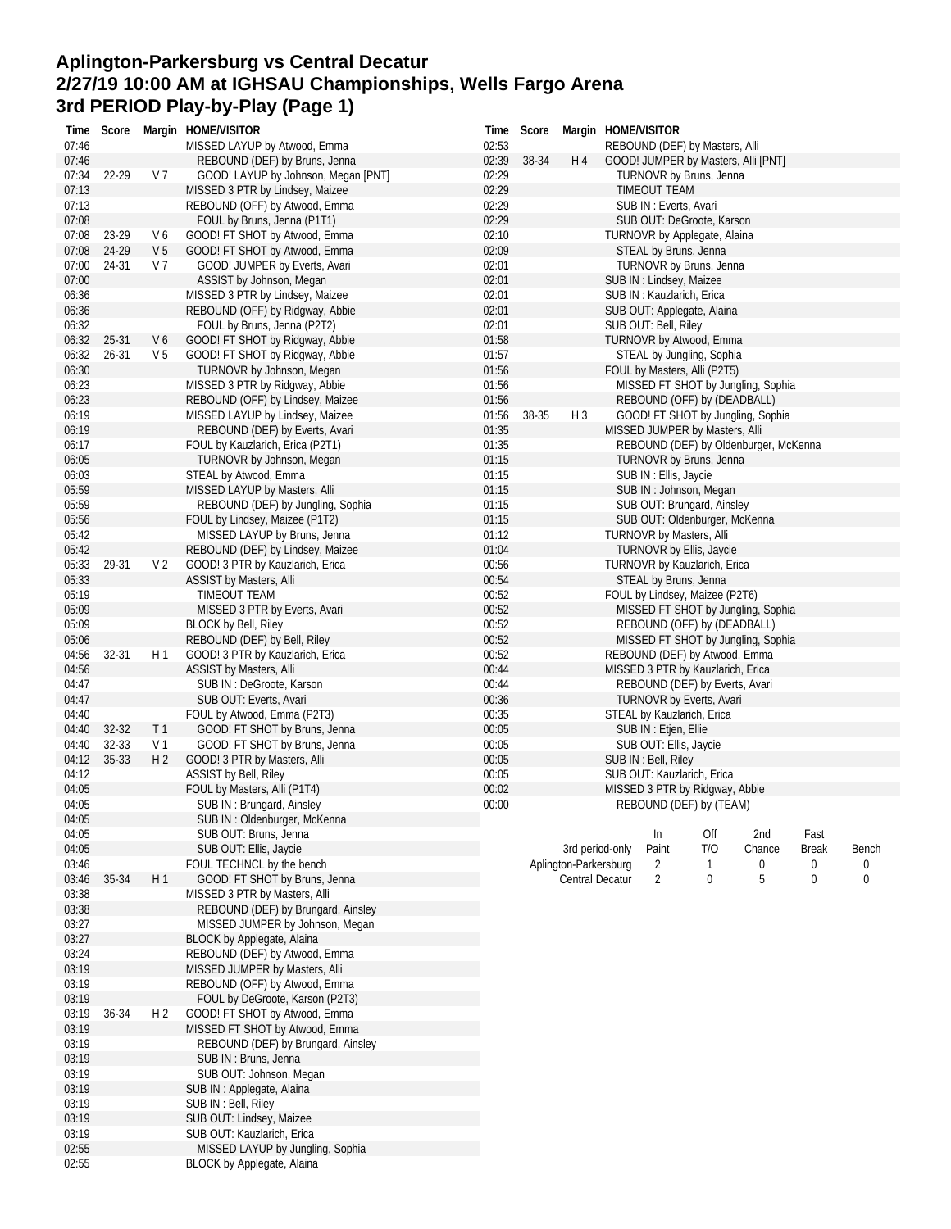## **Aplington-Parkersburg vs Central Decatur 2/27/19 10:00 AM at IGHSAU Championships, Wells Fargo Arena 3rd PERIOD Play-by-Play (Page 1)**

| Time  | Score     |                | Margin HOME/VISITOR                 | Time  | Score |                        | Margin HOME/VISITOR               |     |                                       |              |       |
|-------|-----------|----------------|-------------------------------------|-------|-------|------------------------|-----------------------------------|-----|---------------------------------------|--------------|-------|
| 07:46 |           |                | MISSED LAYUP by Atwood, Emma        | 02:53 |       |                        | REBOUND (DEF) by Masters, Alli    |     |                                       |              |       |
| 07:46 |           |                | REBOUND (DEF) by Bruns, Jenna       | 02:39 | 38-34 | H 4                    |                                   |     | GOOD! JUMPER by Masters, Alli [PNT]   |              |       |
| 07:34 | 22-29     | V 7            | GOOD! LAYUP by Johnson, Megan [PNT] | 02:29 |       |                        | TURNOVR by Bruns, Jenna           |     |                                       |              |       |
| 07:13 |           |                | MISSED 3 PTR by Lindsey, Maizee     | 02:29 |       |                        | <b>TIMEOUT TEAM</b>               |     |                                       |              |       |
| 07:13 |           |                | REBOUND (OFF) by Atwood, Emma       | 02:29 |       |                        | SUB IN: Everts, Avari             |     |                                       |              |       |
| 07:08 |           |                | FOUL by Bruns, Jenna (P1T1)         | 02:29 |       |                        | SUB OUT: DeGroote, Karson         |     |                                       |              |       |
| 07:08 | 23-29     | V6             | GOOD! FT SHOT by Atwood, Emma       | 02:10 |       |                        | TURNOVR by Applegate, Alaina      |     |                                       |              |       |
| 07:08 | 24-29     | V <sub>5</sub> |                                     | 02:09 |       |                        |                                   |     |                                       |              |       |
|       |           |                | GOOD! FT SHOT by Atwood, Emma       |       |       |                        | STEAL by Bruns, Jenna             |     |                                       |              |       |
| 07:00 | 24-31     | V 7            | GOOD! JUMPER by Everts, Avari       | 02:01 |       |                        | TURNOVR by Bruns, Jenna           |     |                                       |              |       |
| 07:00 |           |                | ASSIST by Johnson, Megan            | 02:01 |       |                        | SUB IN : Lindsey, Maizee          |     |                                       |              |       |
| 06:36 |           |                | MISSED 3 PTR by Lindsey, Maizee     | 02:01 |       |                        | SUB IN: Kauzlarich, Erica         |     |                                       |              |       |
| 06:36 |           |                | REBOUND (OFF) by Ridgway, Abbie     | 02:01 |       |                        | SUB OUT: Applegate, Alaina        |     |                                       |              |       |
| 06:32 |           |                | FOUL by Bruns, Jenna (P2T2)         | 02:01 |       |                        | SUB OUT: Bell, Riley              |     |                                       |              |       |
| 06:32 | 25-31     | V6             | GOOD! FT SHOT by Ridgway, Abbie     | 01:58 |       |                        | TURNOVR by Atwood, Emma           |     |                                       |              |       |
| 06:32 | $26 - 31$ | V <sub>5</sub> | GOOD! FT SHOT by Ridgway, Abbie     | 01:57 |       |                        | STEAL by Jungling, Sophia         |     |                                       |              |       |
| 06:30 |           |                | TURNOVR by Johnson, Megan           | 01:56 |       |                        | FOUL by Masters, Alli (P2T5)      |     |                                       |              |       |
| 06:23 |           |                | MISSED 3 PTR by Ridgway, Abbie      | 01:56 |       |                        |                                   |     | MISSED FT SHOT by Jungling, Sophia    |              |       |
| 06:23 |           |                | REBOUND (OFF) by Lindsey, Maizee    | 01:56 |       |                        | REBOUND (OFF) by (DEADBALL)       |     |                                       |              |       |
| 06:19 |           |                |                                     |       | 38-35 | $H_3$                  |                                   |     | GOOD! FT SHOT by Jungling, Sophia     |              |       |
|       |           |                | MISSED LAYUP by Lindsey, Maizee     | 01:56 |       |                        |                                   |     |                                       |              |       |
| 06:19 |           |                | REBOUND (DEF) by Everts, Avari      | 01:35 |       |                        | MISSED JUMPER by Masters, Alli    |     |                                       |              |       |
| 06:17 |           |                | FOUL by Kauzlarich, Erica (P2T1)    | 01:35 |       |                        |                                   |     | REBOUND (DEF) by Oldenburger, McKenna |              |       |
| 06:05 |           |                | TURNOVR by Johnson, Megan           | 01:15 |       |                        | TURNOVR by Bruns, Jenna           |     |                                       |              |       |
| 06:03 |           |                | STEAL by Atwood, Emma               | 01:15 |       |                        | SUB IN : Ellis, Jaycie            |     |                                       |              |       |
| 05:59 |           |                | MISSED LAYUP by Masters, Alli       | 01:15 |       |                        | SUB IN: Johnson, Megan            |     |                                       |              |       |
| 05:59 |           |                | REBOUND (DEF) by Jungling, Sophia   | 01:15 |       |                        | SUB OUT: Brungard, Ainsley        |     |                                       |              |       |
| 05:56 |           |                | FOUL by Lindsey, Maizee (P1T2)      | 01:15 |       |                        | SUB OUT: Oldenburger, McKenna     |     |                                       |              |       |
| 05:42 |           |                | MISSED LAYUP by Bruns, Jenna        | 01:12 |       |                        | TURNOVR by Masters, Alli          |     |                                       |              |       |
| 05:42 |           |                | REBOUND (DEF) by Lindsey, Maizee    | 01:04 |       |                        | TURNOVR by Ellis, Jaycie          |     |                                       |              |       |
| 05:33 | 29-31     | V <sub>2</sub> | GOOD! 3 PTR by Kauzlarich, Erica    | 00:56 |       |                        | TURNOVR by Kauzlarich, Erica      |     |                                       |              |       |
|       |           |                |                                     |       |       |                        |                                   |     |                                       |              |       |
| 05:33 |           |                | ASSIST by Masters, Alli             | 00:54 |       |                        | STEAL by Bruns, Jenna             |     |                                       |              |       |
| 05:19 |           |                | <b>TIMEOUT TEAM</b>                 | 00:52 |       |                        | FOUL by Lindsey, Maizee (P2T6)    |     |                                       |              |       |
| 05:09 |           |                | MISSED 3 PTR by Everts, Avari       | 00:52 |       |                        |                                   |     | MISSED FT SHOT by Jungling, Sophia    |              |       |
| 05:09 |           |                | <b>BLOCK by Bell, Riley</b>         | 00:52 |       |                        | REBOUND (OFF) by (DEADBALL)       |     |                                       |              |       |
| 05:06 |           |                | REBOUND (DEF) by Bell, Riley        | 00:52 |       |                        |                                   |     | MISSED FT SHOT by Jungling, Sophia    |              |       |
| 04:56 | 32-31     | H 1            | GOOD! 3 PTR by Kauzlarich, Erica    | 00:52 |       |                        | REBOUND (DEF) by Atwood, Emma     |     |                                       |              |       |
| 04:56 |           |                | ASSIST by Masters, Alli             | 00:44 |       |                        | MISSED 3 PTR by Kauzlarich, Erica |     |                                       |              |       |
| 04:47 |           |                | SUB IN : DeGroote, Karson           | 00:44 |       |                        | REBOUND (DEF) by Everts, Avari    |     |                                       |              |       |
| 04:47 |           |                | SUB OUT: Everts, Avari              | 00:36 |       |                        | TURNOVR by Everts, Avari          |     |                                       |              |       |
| 04:40 |           |                | FOUL by Atwood, Emma (P2T3)         | 00:35 |       |                        | STEAL by Kauzlarich, Erica        |     |                                       |              |       |
|       | 32-32     | T <sub>1</sub> |                                     |       |       |                        |                                   |     |                                       |              |       |
| 04:40 |           |                | GOOD! FT SHOT by Bruns, Jenna       | 00:05 |       |                        | SUB IN: Etjen, Ellie              |     |                                       |              |       |
| 04:40 | 32-33     | V 1            | GOOD! FT SHOT by Bruns, Jenna       | 00:05 |       |                        | SUB OUT: Ellis, Jaycie            |     |                                       |              |       |
| 04:12 | 35-33     | H <sub>2</sub> | GOOD! 3 PTR by Masters, Alli        | 00:05 |       |                        | SUB IN: Bell, Riley               |     |                                       |              |       |
| 04:12 |           |                | ASSIST by Bell, Riley               | 00:05 |       |                        | SUB OUT: Kauzlarich, Erica        |     |                                       |              |       |
| 04:05 |           |                | FOUL by Masters, Alli (P1T4)        | 00:02 |       |                        | MISSED 3 PTR by Ridgway, Abbie    |     |                                       |              |       |
| 04:05 |           |                | SUB IN: Brungard, Ainsley           | 00:00 |       |                        | REBOUND (DEF) by (TEAM)           |     |                                       |              |       |
| 04:05 |           |                | SUB IN : Oldenburger, McKenna       |       |       |                        |                                   |     |                                       |              |       |
| 04:05 |           |                | SUB OUT: Bruns, Jenna               |       |       |                        | In                                | Off | 2nd                                   | Fast         |       |
| 04:05 |           |                | SUB OUT: Ellis, Jaycie              |       |       | 3rd period-only        | Paint                             | T/O | Chance                                | <b>Break</b> | Bench |
| 03:46 |           |                | FOUL TECHNCL by the bench           |       |       | Aplington-Parkersburg  | 2                                 | 1   | 0                                     | 0            | 0     |
| 03:46 | 35-34     | H1             | GOOD! FT SHOT by Bruns, Jenna       |       |       | <b>Central Decatur</b> | $\overline{2}$                    | 0   | 5                                     | 0            | 0     |
| 03:38 |           |                | MISSED 3 PTR by Masters, Alli       |       |       |                        |                                   |     |                                       |              |       |
|       |           |                |                                     |       |       |                        |                                   |     |                                       |              |       |
| 03:38 |           |                | REBOUND (DEF) by Brungard, Ainsley  |       |       |                        |                                   |     |                                       |              |       |
| 03:27 |           |                | MISSED JUMPER by Johnson, Megan     |       |       |                        |                                   |     |                                       |              |       |
| 03:27 |           |                | <b>BLOCK by Applegate, Alaina</b>   |       |       |                        |                                   |     |                                       |              |       |
| 03:24 |           |                | REBOUND (DEF) by Atwood, Emma       |       |       |                        |                                   |     |                                       |              |       |
| 03:19 |           |                | MISSED JUMPER by Masters, Alli      |       |       |                        |                                   |     |                                       |              |       |
| 03:19 |           |                | REBOUND (OFF) by Atwood, Emma       |       |       |                        |                                   |     |                                       |              |       |
| 03:19 |           |                | FOUL by DeGroote, Karson (P2T3)     |       |       |                        |                                   |     |                                       |              |       |
| 03:19 | 36-34     | H 2            | GOOD! FT SHOT by Atwood, Emma       |       |       |                        |                                   |     |                                       |              |       |
| 03:19 |           |                | MISSED FT SHOT by Atwood, Emma      |       |       |                        |                                   |     |                                       |              |       |
| 03:19 |           |                | REBOUND (DEF) by Brungard, Ainsley  |       |       |                        |                                   |     |                                       |              |       |
| 03:19 |           |                | SUB IN: Bruns, Jenna                |       |       |                        |                                   |     |                                       |              |       |
|       |           |                |                                     |       |       |                        |                                   |     |                                       |              |       |
| 03:19 |           |                | SUB OUT: Johnson, Megan             |       |       |                        |                                   |     |                                       |              |       |
| 03:19 |           |                | SUB IN: Applegate, Alaina           |       |       |                        |                                   |     |                                       |              |       |
| 03:19 |           |                | SUB IN: Bell, Riley                 |       |       |                        |                                   |     |                                       |              |       |
| 03:19 |           |                | SUB OUT: Lindsey, Maizee            |       |       |                        |                                   |     |                                       |              |       |
| 03:19 |           |                | SUB OUT: Kauzlarich, Erica          |       |       |                        |                                   |     |                                       |              |       |
| 02:55 |           |                | MISSED LAYUP by Jungling, Sophia    |       |       |                        |                                   |     |                                       |              |       |
| 02:55 |           |                | <b>BLOCK by Applegate, Alaina</b>   |       |       |                        |                                   |     |                                       |              |       |
|       |           |                |                                     |       |       |                        |                                   |     |                                       |              |       |